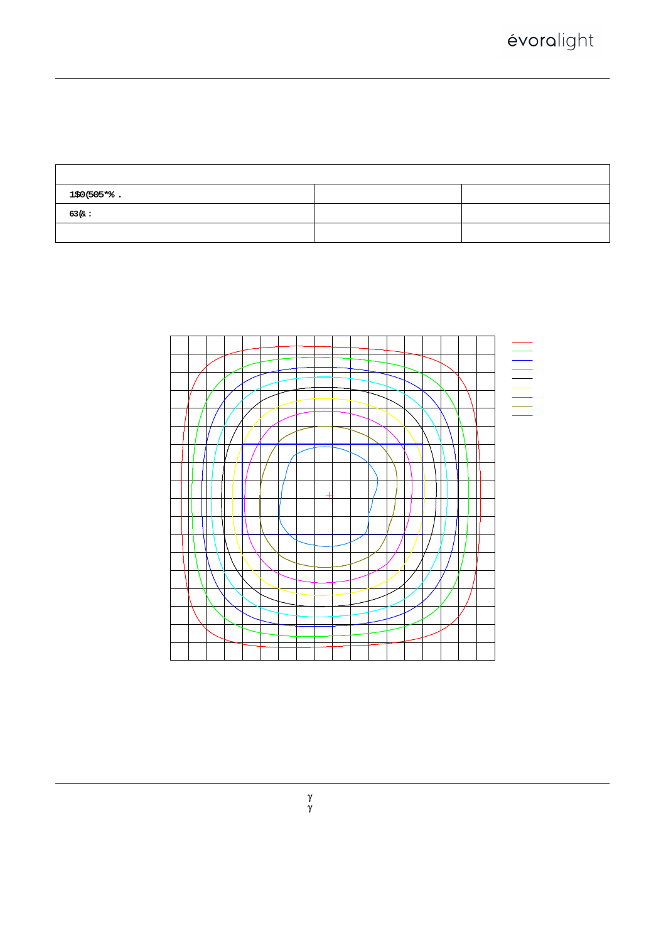# $9J9F$ : = B9 : ; CB = CD < CHCA9H9FG · GMGH9A · H9GH · F9DCI

 $= G C 7 5 B 8 9 @ 5 \cdot 8 = 5$ ; F 5 A

| HYgh. I. & ("SSJ = $S'' + S'$ , 5 D. %*", - K D: . %"SSS : @Uad : `il., , + "%) - 1 %   a |             |                                                                                                                                                                                                                                                                   |  |  |  |  |  |
|-------------------------------------------------------------------------------------------|-------------|-------------------------------------------------------------------------------------------------------------------------------------------------------------------------------------------------------------------------------------------------------------------|--|--|--|--|--|
| $B5A9.$ $FA)$ ) ! F; 6 & (*) ?                                                            | HMD9.       | $K9 = : \langle H.$                                                                                                                                                                                                                                               |  |  |  |  |  |
| GD97", % K                                                                                | $8 = A''$ . | $G9F = 5@`Bc"$ .                                                                                                                                                                                                                                                  |  |  |  |  |  |
| MFR.: Évoralight, Inc.                                                                    |             | GIF". $\$$ " $\$$ $\$$ $\$$ $\$$ $\$\%$ $\$$ $\%$ $\$\$ $\$\$ $\$$ $\%$ $\$\$ $\]\$ $\[\$ $\[\$ $\[\$ $\]\$ $\[\$ $\]\$ $\[\$ $\]\$ $\[\$ $\]\$ $\[\$ $\[\$ $\]\$ $\[\$ $\]\$ $\[\$ $\[\$ $\]\$ $\[\$ $\[\$ $\]\$ $\[\$ $\[\$ $\]\$ $\[\$ $\[\$ $\]\$ $\[\$ $\[\$ |  |  |  |  |  |



*i* FUb[Y. 'S'!' - \$89;<br> *i* = bhYfjU'. '%" \$89;<br> *H*Ygh 'GmghYa. 9J9F: = B9'; C!&\$\$\$55J%'GMO<br>
< i a] X] hm. \*) " \$1<br>
HYgh '8] ghUbWY. - " \* \* \$a '0?1%" \$\$\$\$Q<br>
FYaUf \_g. 7 FUb[Y. 'S ! ' \* \$89;<br>7 = bhYfjU'. ' & & " ) 89;<br>HYgh ' GdYYX. ' < = ; <<br>HYadYfUhifY. & ) " ' 89;<br>CdYfUhcfg. > = BN< =<br>HYgh ' 8UhY. & \$&%! \$ &! \$'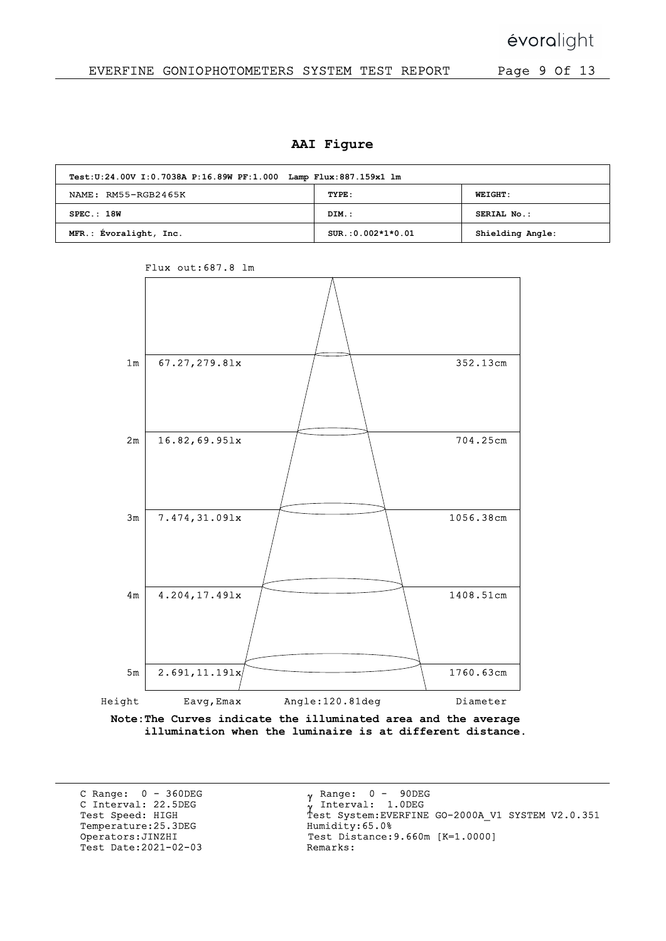### EVERFINE GONIOPHOTOMETERS SYSTEM TEST REPORT Page 9 Of 13

#### AAI Figure

| Test: U: 24.00V I: 0.7038A P: 16.89W PF: 1.000 Lamp Flux: 887.159x1 lm |                     |                  |  |  |  |  |  |  |  |
|------------------------------------------------------------------------|---------------------|------------------|--|--|--|--|--|--|--|
| NAME: RM55-RGB2465K                                                    | TYPE:               | <b>WEIGHT:</b>   |  |  |  |  |  |  |  |
| SPEC.:18W                                                              | DIM.:               | SERIAL No.:      |  |  |  |  |  |  |  |
| MFR.: Evoralight, Inc.                                                 | $SUR.:0.002*1*0.01$ | Shielding Angle: |  |  |  |  |  |  |  |



Flux out:687.8 lm

Note:The Curves indicate the illuminated area and the average illumination when the luminaire is at different distance.

C Range: 0 - 360DEG C Interval: 22.5DEG<br>Test Speed: HIGH Temperature:25.3DEG Humidity:65.0%<br>Operators:JINZHI Test Distance: Test Date:  $2021 - 02 - 03$ 

0 - 90DEG Interval: 1.0DEG  $\gamma$  Range: Test Speed: HIGH Test System:EVERFINE GO-2000A\_V1 SYSTEM V2.0.351 Test Distance:9.660m [K=1.0000]<br>Remarks: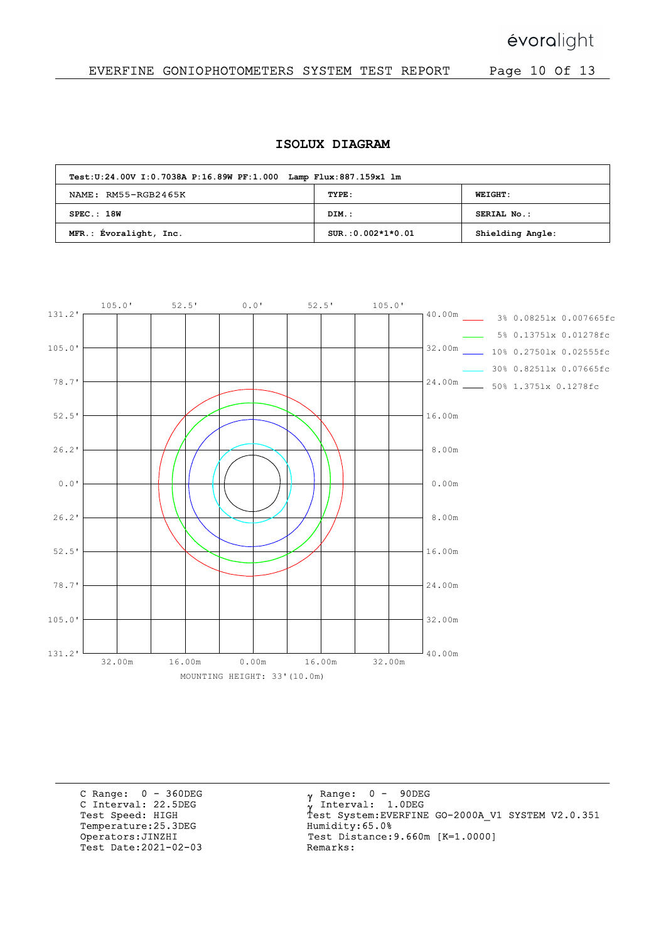évoralight

### EVERFINE GONIOPHOTOMETERS SYSTEM TEST REPORT Page 10 Of 13

#### ISOLUX DIAGRAM

| Test: U:24.00V I:0.7038A P:16.89W PF:1.000 Lamp Flux: 887.159x1 lm |                     |                  |  |  |  |  |  |  |  |
|--------------------------------------------------------------------|---------------------|------------------|--|--|--|--|--|--|--|
| NAME: RM55-RGB2465K                                                | TYPE:               | <b>WEIGHT:</b>   |  |  |  |  |  |  |  |
| SPEC.:18W                                                          | DIM.:               | SERIAL No.:      |  |  |  |  |  |  |  |
| MFR.: Évoralight, Inc.                                             | $SUR.:0.002*1*0.01$ | Shielding Angle: |  |  |  |  |  |  |  |



C Range: 0 - 360DEG C Interval: 22.5DEG<br>Test Speed: HIGH Temperature:25.3DEG Humidity:65.0%<br>Operators:JINZHI Test Distance: Test Date:  $2021 - 02 - 03$ 

 $_{\gamma}$  Range:  $0$  - 90DEG y Range: 0 - 90DE<br><sub>V</sub> Interval: 1.0DEG Test Speed: HIGH Test System:EVERFINE GO-2000A\_V1 SYSTEM V2.0.351 Test Distance:9.660m [K=1.0000]<br>Remarks: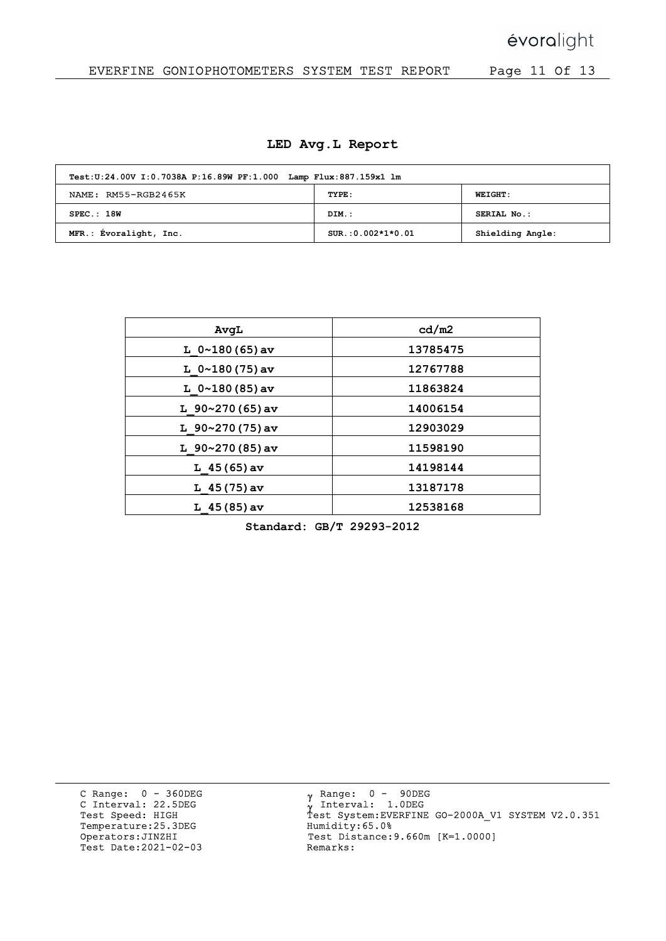## EVERFINE GONIOPHOTOMETERS SYSTEM TEST REPORT Page 11 Of 13

|  |  |  |  | LED Avg.L Report |
|--|--|--|--|------------------|
|--|--|--|--|------------------|

| Test: U:24.00V I:0.7038A P:16.89W PF:1.000 Lamp Flux: 887.159x1 lm |                     |                  |  |  |  |  |  |  |  |  |
|--------------------------------------------------------------------|---------------------|------------------|--|--|--|--|--|--|--|--|
| NAME: RM55-RGB2465K                                                | TYPE:               | <b>WEIGHT:</b>   |  |  |  |  |  |  |  |  |
| SPEC.:18W                                                          | DIM.:               | SERIAL No.:      |  |  |  |  |  |  |  |  |
| MFR.: Évoralight, Inc.                                             | $SUR.:0.002*1*0.01$ | Shielding Angle: |  |  |  |  |  |  |  |  |

| AvqL                  | cd/m2    |
|-----------------------|----------|
| L $0 \sim 180(65)$ av | 13785475 |
| L $0 \sim 180(75)$ av | 12767788 |
| L $0 \sim 180(85)$ av | 11863824 |
| L $90~270(65)$ av     | 14006154 |
| L $90~270(75)$ av     | 12903029 |
| L $90~270(85)$ av     | 11598190 |
| L $45(65)$ av         | 14198144 |
| L $45(75)$ av         | 13187178 |
| $L$ 45 (85) av        | 12538168 |

Standard: GB/T 29293-2012

C Range: 0 - 360DEG C Interval: 22.5DEG<br>Test Speed: HIGH Temperature:25.3DEG Humidity:65.0%<br>Operators:JINZHI Test Distance: Test Date: 2021-02-03

 $_{\gamma}$  Range:  $0$  - 90DEG γ Range: 0 - 90DE<br>γ Interval: 1.0DEG Test Speed: HIGH Test System:EVERFINE GO-2000A\_V1 SYSTEM V2.0.351 Test Distance: 9.660m [K=1.0000]<br>Remarks: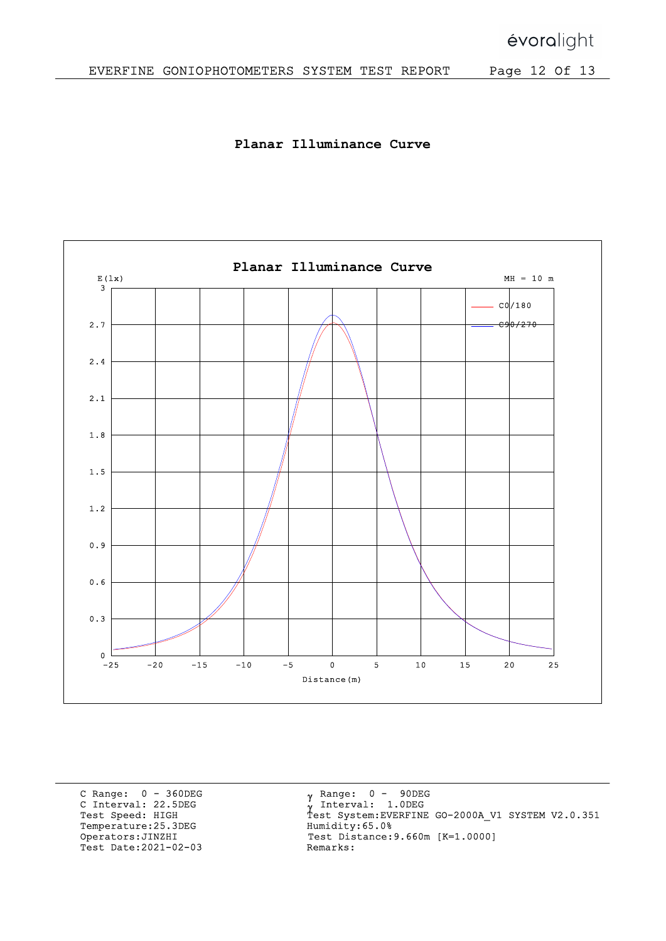Planar Illuminance Curve



C Range: 0 - 360DEG C Interval: 22.5DEG<br>Test Speed: HIGH Temperature:25.3DEG Humidity:65.0%<br>Operators:JINZHI Test Distance: Test Date:  $2021 - 02 - 03$ 

 $_{\gamma}$  Range:  $0$  - 90DEG y Range: 0 - 90DE<br><sub>V</sub> Interval: 1.0DEG Test Speed: HIGH Test System:EVERFINE GO-2000A\_V1 SYSTEM V2.0.351 Test Distance: 9.660m [K=1.0000]<br>Remarks: